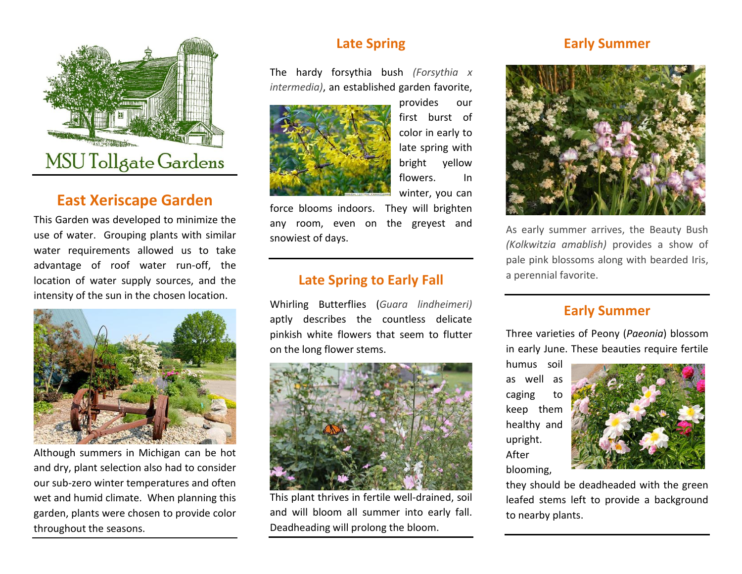

# **East Xeriscape Garden**

This Garden was developed to minimize the use of water. Grouping plants with similar water requirements allowed us to take advantage of roof water run-off, the location of water supply sources, and the intensity of the sun in the chosen location.



Although summers in Michigan can be hot and dry, plant selection also had to consider our sub-zero winter temperatures and often wet and humid climate. When planning this garden, plants were chosen to provide color throughout the seasons.

# **Late Spring**

The hardy forsythia bush *(Forsythia x intermedia)*, an established garden favorite,



provides our first burst of color in early to late spring with bright yellow flowers. In winter, you can

force blooms indoors. They will brighten any room, even on the greyest and snowiest of days.

#### **Late Spring to Early Fall**

Whirling Butterflies (*Guara lindheimeri)* aptly describes the countless delicate pinkish white flowers that seem to flutter on the long flower stems.



This plant thrives in fertile well-drained, soil and will bloom all summer into early fall. Deadheading will prolong the bloom.

## **Early Summer**



As early summer arrives, the Beauty Bush *(Kolkwitzia amablish)* provides a show of pale pink blossoms along with bearded Iris, a perennial favorite.

### **Early Summer**

Three varieties of Peony (*Paeonia*) blossom in early June. These beauties require fertile

humus soil as well as caging to keep them healthy and upright. After blooming,



they should be deadheaded with the green leafed stems left to provide a background to nearby plants.